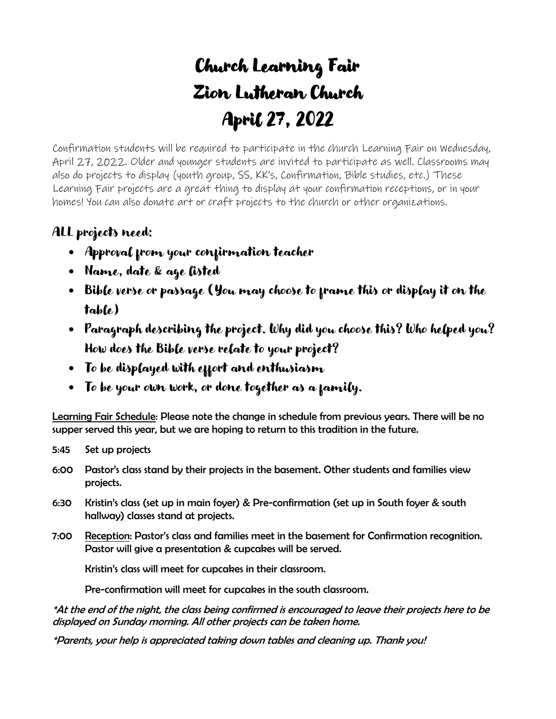## Church Learning Fair Zion Lutheran Church April 27, 2022

Confirmation students will be required to participate in the church Learning Fair on Wednesday, April 27, 2022. Older and younger students are invited to participate as well. Classrooms may also do projects to display (youth group, SS, KK's, Confirmation, Bible studies, etc.) These Learning Fair projects are a great thing to display at your confirmation receptions, or in your homes! You can also donate art or craft projects to the church or other organizations.

## ALL projects need:

- Approval from your confirmation teacher
- Name, date & age listed
- Bible verse or passage (You may choose to frame this or display it on the table)
- Paragraph describing the project. Why did you choose this? Who helped you? How does the Bible verse relate to your project?
- To be displayed with effort and enthusiasm
- To be your own work, or done together as a family.

Learning Fair Schedule: Please note the change in schedule from previous years. There will be no supper served this year, but we are hoping to return to this tradition in the future.

- 5:45 Set up projects
- 6:00 Pastor's class stand by their projects in the basement. Other students and families view projects.
- 6:30 Kristin's class (set up in main foyer) & Pre-confirmation (set up in South foyer & south hallway) classes stand at projects.
- 7:00 Reception: Pastor's class and families meet in the basement for Confirmation recognition. Pastor will give a presentation & cupcakes will be served.

Kristin's class will meet for cupcakes in their classroom.

Pre-confirmation will meet for cupcakes in the south classroom.

\*At the end of the night, the class being confirmed is encouraged to leave their projects here to be displayed on Sunday morning. All other projects can be taken home.

\*Parents, your help is appreciated taking down tables and cleaning up. Thank you!